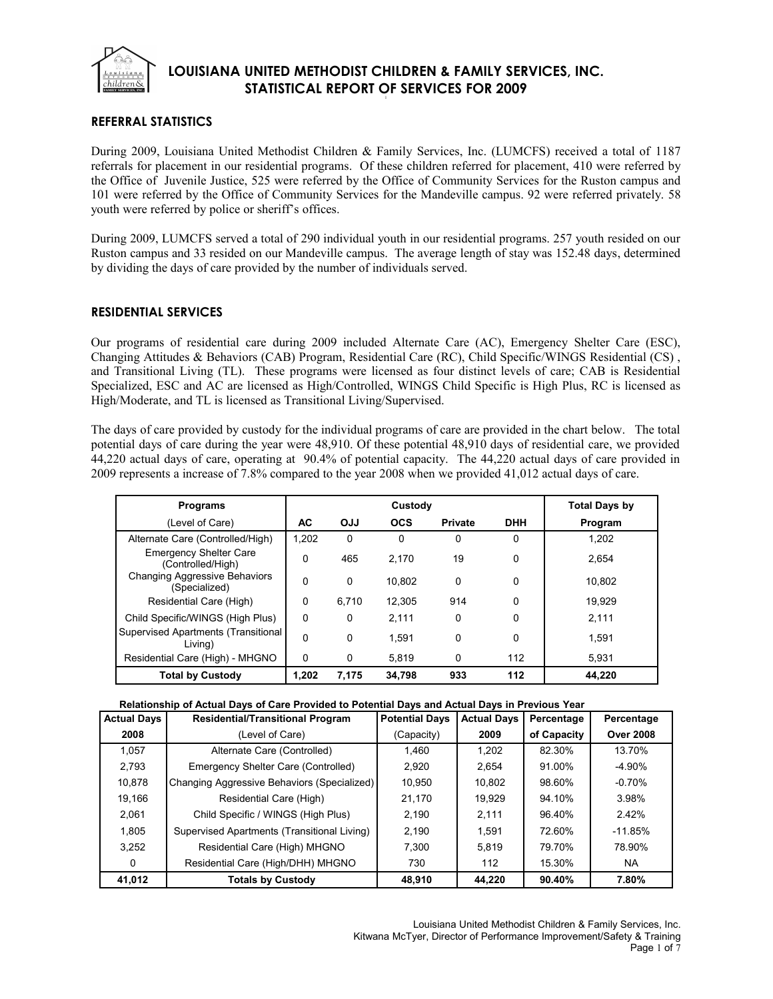

## **REFERRAL STATISTICS**

During 2009, Louisiana United Methodist Children & Family Services, Inc. (LUMCFS) received a total of 1187 referrals for placement in our residential programs. Of these children referred for placement, 410 were referred by the Office of Juvenile Justice, 525 were referred by the Office of Community Services for the Ruston campus and 101 were referred by the Office of Community Services for the Mandeville campus. 92 were referred privately. 58 youth were referred by police or sheriff's offices.

During 2009, LUMCFS served a total of 290 individual youth in our residential programs. 257 youth resided on our Ruston campus and 33 resided on our Mandeville campus. The average length of stay was 152.48 days, determined by dividing the days of care provided by the number of individuals served.

## **RESIDENTIAL SERVICES**

Our programs of residential care during 2009 included Alternate Care (AC), Emergency Shelter Care (ESC), Changing Attitudes & Behaviors (CAB) Program, Residential Care (RC), Child Specific/WINGS Residential (CS) , and Transitional Living (TL). These programs were licensed as four distinct levels of care; CAB is Residential Specialized, ESC and AC are licensed as High/Controlled, WINGS Child Specific is High Plus, RC is licensed as High/Moderate, and TL is licensed as Transitional Living/Supervised.

The days of care provided by custody for the individual programs of care are provided in the chart below. The total potential days of care during the year were 48,910. Of these potential 48,910 days of residential care, we provided 44,220 actual days of care, operating at 90.4% of potential capacity. The 44,220 actual days of care provided in 2009 represents a increase of 7.8% compared to the year 2008 when we provided 41,012 actual days of care.

| <b>Programs</b>                                    |          |            | <b>Total Days by</b> |                |            |         |
|----------------------------------------------------|----------|------------|----------------------|----------------|------------|---------|
| (Level of Care)                                    | АC       | <b>OJJ</b> | <b>OCS</b>           | <b>Private</b> | <b>DHH</b> | Program |
| Alternate Care (Controlled/High)                   | 1.202    | 0          | 0                    | 0              | 0          | 1.202   |
| <b>Emergency Shelter Care</b><br>(Controlled/High) | $\Omega$ | 465        | 2.170                | 19             | 0          | 2.654   |
| Changing Aggressive Behaviors<br>(Specialized)     | $\Omega$ | $\Omega$   | 10.802               | $\mathbf 0$    | 0          | 10.802  |
| Residential Care (High)                            | $\Omega$ | 6.710      | 12.305               | 914            | 0          | 19.929  |
| Child Specific/WINGS (High Plus)                   | $\Omega$ | 0          | 2.111                | $\Omega$       | 0          | 2,111   |
| Supervised Apartments (Transitional<br>Living)     | $\Omega$ | $\Omega$   | 1.591                | $\Omega$       | 0          | 1.591   |
| Residential Care (High) - MHGNO                    | 0        | 0          | 5.819                | 0              | 112        | 5.931   |
| <b>Total by Custody</b>                            | 1.202    | 7.175      | 34.798               | 933            | 112        | 44.220  |

## **Relationship of Actual Days of Care Provided to Potential Days and Actual Days in Previous Year**

| <b>Actual Days</b> | <b>Residential/Transitional Program</b>     | <b>Potential Days</b> | <b>Actual Days</b> | Percentage  | Percentage       |
|--------------------|---------------------------------------------|-----------------------|--------------------|-------------|------------------|
| 2008               | (Level of Care)                             | (Capacity)            | 2009               | of Capacity | <b>Over 2008</b> |
| 1.057              | Alternate Care (Controlled)                 | 1.460                 | 1.202              | 82.30%      | 13.70%           |
| 2.793              | Emergency Shelter Care (Controlled)         | 2.920                 | 2.654              | 91.00%      | -4.90%           |
| 10,878             | Changing Aggressive Behaviors (Specialized) | 10,950                | 10.802             | 98.60%      | $-0.70%$         |
| 19.166             | Residential Care (High)                     | 21.170                | 19.929             | 94.10%      | 3.98%            |
| 2,061              | Child Specific / WINGS (High Plus)          | 2.190                 | 2.111              | 96.40%      | 2.42%            |
| 1.805              | Supervised Apartments (Transitional Living) | 2.190                 | 1.591              | 72.60%      | $-11.85%$        |
| 3.252              | Residential Care (High) MHGNO               | 7.300                 | 5.819              | 79.70%      | 78.90%           |
| 0                  | Residential Care (High/DHH) MHGNO           | 730                   | 112                | 15.30%      | NA.              |
| 41.012             | <b>Totals by Custody</b>                    | 48.910                | 44.220             | 90.40%      | 7.80%            |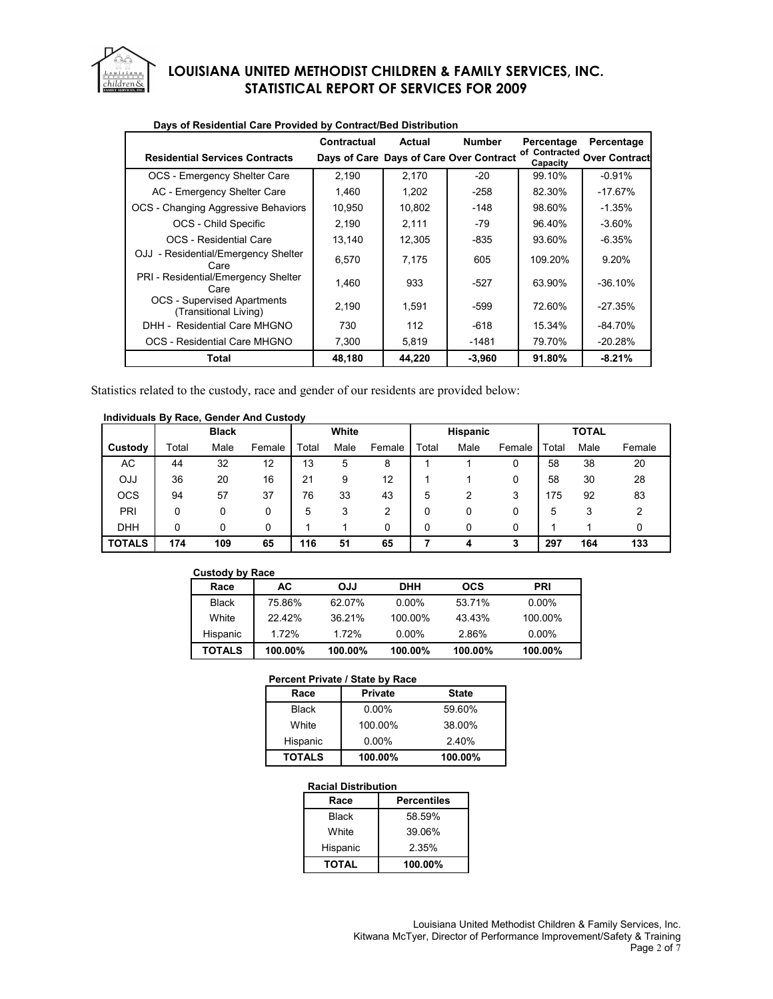

|                                                             | Contractual | Actual | <b>Number</b>                           | Percentage                | Percentage            |
|-------------------------------------------------------------|-------------|--------|-----------------------------------------|---------------------------|-----------------------|
| <b>Residential Services Contracts</b>                       |             |        | Days of Care Days of Care Over Contract | of Contracted<br>Capacity | <b>Over Contractl</b> |
| OCS - Emergency Shelter Care                                | 2.190       | 2.170  | $-20$                                   | 99.10%                    | $-0.91%$              |
| AC - Emergency Shelter Care                                 | 1,460       | 1.202  | $-258$                                  | 82.30%                    | $-17.67%$             |
| OCS - Changing Aggressive Behaviors                         | 10,950      | 10,802 | $-148$                                  | 98.60%                    | $-1.35%$              |
| OCS - Child Specific                                        | 2,190       | 2.111  | -79                                     | 96.40%                    | $-3.60\%$             |
| OCS - Residential Care                                      | 13,140      | 12,305 | $-835$                                  | 93.60%                    | $-6.35%$              |
| OJJ - Residential/Emergency Shelter<br>Care                 | 6.570       | 7.175  | 605                                     | 109.20%                   | 9.20%                 |
| PRI - Residential/Emergency Shelter<br>Care                 | 1,460       | 933    | $-527$                                  | 63.90%                    | $-36.10%$             |
| <b>OCS</b> - Supervised Apartments<br>(Transitional Living) | 2.190       | 1,591  | $-599$                                  | 72.60%                    | $-27.35%$             |
| DHH - Residential Care MHGNO                                | 730         | 112    | $-618$                                  | 15.34%                    | $-84.70%$             |
| OCS - Residential Care MHGNO                                | 7,300       | 5,819  | $-1481$                                 | 79.70%                    | $-20.28%$             |
| Total                                                       | 48,180      | 44,220 | $-3,960$                                | 91.80%                    | $-8.21%$              |

## **Days of Residential Care Provided by Contract/Bed Distribution**

Statistics related to the custody, race and gender of our residents are provided below:

## **Individuals By Race, Gender And Custody**

|               |       | <b>Black</b> |        |       | White |        |       | <b>Hispanic</b> |        |       | <b>TOTAL</b> |        |
|---------------|-------|--------------|--------|-------|-------|--------|-------|-----------------|--------|-------|--------------|--------|
| Custody       | Total | Male         | Female | Total | Male  | Female | Total | Male            | Female | Total | Male         | Female |
| AC            | 44    | 32           | 12     | 13    | 5     | 8      |       |                 | 0      | 58    | 38           | 20     |
| <b>CJJ</b>    | 36    | 20           | 16     | 21    | 9     | 12     |       |                 | 0      | 58    | 30           | 28     |
| <b>OCS</b>    | 94    | 57           | 37     | 76    | 33    | 43     | 5     |                 | 3      | 175   | 92           | 83     |
| PRI           | 0     | 0            | 0      | 5     | 3     | 2      | 0     |                 |        | 5     | 3            | 2      |
| <b>DHH</b>    | 0     | 0            | 0      |       |       | 0      | 0     | 0               |        |       |              |        |
| <b>TOTALS</b> | 174   | 109          | 65     | 116   | 51    | 65     |       | 4               | 3      | 297   | 164          | 133    |

| <b>Custody by Race</b> |         |         |            |            |            |
|------------------------|---------|---------|------------|------------|------------|
| Race                   | AC.     | LLO     | <b>DHH</b> | <b>OCS</b> | <b>PRI</b> |
| <b>Black</b>           | 75.86%  | 62.07%  | $0.00\%$   | 53.71%     | $0.00\%$   |
| White                  | 22.42%  | 36 21%  | 100.00%    | 43.43%     | 100.00%    |
| Hispanic               | 1.72%   | 1.72%   | $0.00\%$   | 2.86%      | $0.00\%$   |
| <b>TOTALS</b>          | 100.00% | 100.00% | 100.00%    | 100.00%    | 100.00%    |

#### **Percent Private / State by Race**

| Race          | <b>Private</b> | <b>State</b> |
|---------------|----------------|--------------|
| <b>Black</b>  | $0.00\%$       | 59.60%       |
| White         | 100.00%        | 38.00%       |
| Hispanic      | $0.00\%$       | 2.40%        |
| <b>TOTALS</b> | 100.00%        | 100.00%      |

### **Racial Distribution**

| Race         | <b>Percentiles</b> |  |  |
|--------------|--------------------|--|--|
| Black        | 58.59%             |  |  |
| White        | 39.06%             |  |  |
| Hispanic     | 2.35%              |  |  |
| <b>TOTAL</b> | 100.00%            |  |  |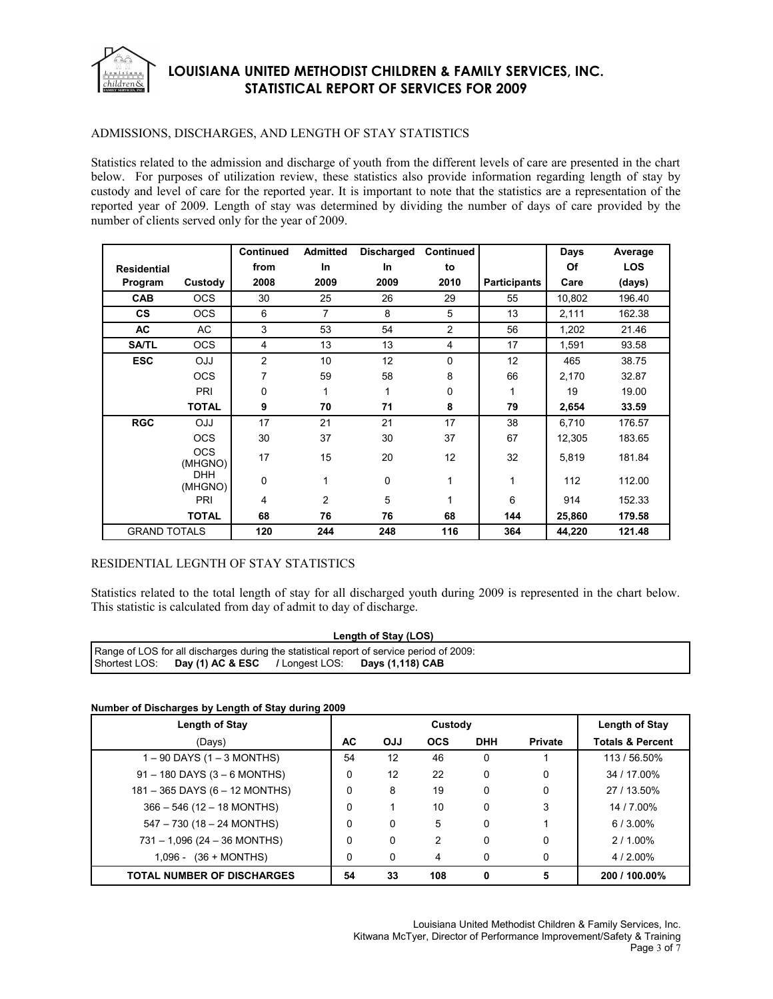

### ADMISSIONS, DISCHARGES, AND LENGTH OF STAY STATISTICS

Statistics related to the admission and discharge of youth from the different levels of care are presented in the chart below. For purposes of utilization review, these statistics also provide information regarding length of stay by custody and level of care for the reported year. It is important to note that the statistics are a representation of the reported year of 2009. Length of stay was determined by dividing the number of days of care provided by the number of clients served only for the year of 2009.

|                     |                       | Continued      | <b>Admitted</b> | <b>Discharged</b> | Continued      |                     | Days   | Average    |
|---------------------|-----------------------|----------------|-----------------|-------------------|----------------|---------------------|--------|------------|
| <b>Residential</b>  |                       | from           | In              | In                | to             |                     | Of     | <b>LOS</b> |
| Program             | Custody               | 2008           | 2009            | 2009              | 2010           | <b>Participants</b> | Care   | (days)     |
| <b>CAB</b>          | <b>OCS</b>            | 30             | 25              | 26                | 29             | 55                  | 10,802 | 196.40     |
| <b>CS</b>           | <b>OCS</b>            | 6              | 7               | 8                 | 5              | 13                  | 2,111  | 162.38     |
| AC                  | AC                    | 3              | 53              | 54                | 2              | 56                  | 1,202  | 21.46      |
| <b>SA/TL</b>        | <b>OCS</b>            | 4              | 13              | 13                | $\overline{4}$ | 17                  | 1,591  | 93.58      |
| <b>ESC</b>          | <b>CLO</b>            | $\overline{2}$ | 10              | 12                | 0              | 12                  | 465    | 38.75      |
|                     | <b>OCS</b>            | 7              | 59              | 58                | 8              | 66                  | 2,170  | 32.87      |
|                     | PRI                   | 0              | 1               | 1                 | 0              | 1                   | 19     | 19.00      |
|                     | <b>TOTAL</b>          | 9              | 70              | 71                | 8              | 79                  | 2,654  | 33.59      |
| <b>RGC</b>          | <b>OJJ</b>            | 17             | 21              | 21                | 17             | 38                  | 6,710  | 176.57     |
|                     | <b>OCS</b>            | 30             | 37              | 30                | 37             | 67                  | 12,305 | 183.65     |
|                     | <b>OCS</b><br>(MHGNO) | 17             | 15              | 20                | 12             | 32                  | 5,819  | 181.84     |
|                     | <b>DHH</b><br>(MHGNO) | $\mathbf 0$    | 1               | 0                 |                | 1                   | 112    | 112.00     |
|                     | PRI                   | 4              | 2               | 5                 |                | 6                   | 914    | 152.33     |
|                     | <b>TOTAL</b>          | 68             | 76              | 76                | 68             | 144                 | 25,860 | 179.58     |
| <b>GRAND TOTALS</b> |                       | 120            | 244             | 248               | 116            | 364                 | 44,220 | 121.48     |

## RESIDENTIAL LEGNTH OF STAY STATISTICS

Statistics related to the total length of stay for all discharged youth during 2009 is represented in the chart below. This statistic is calculated from day of admit to day of discharge.

| Length of Stay (LOS)                                                                        |  |  |                                                                |  |  |  |
|---------------------------------------------------------------------------------------------|--|--|----------------------------------------------------------------|--|--|--|
| Separate of LOS for all discharges during the statistical report of service period of 2009: |  |  |                                                                |  |  |  |
|                                                                                             |  |  | Shortest LOS: Day (1) AC & ESC / Longest LOS: Days (1,118) CAB |  |  |  |

### **Number of Discharges by Length of Stay during 2009**

| Length of Stay                    |    |            | Length of Stay |             |                |                             |
|-----------------------------------|----|------------|----------------|-------------|----------------|-----------------------------|
| (Days)                            | АC | <b>OJJ</b> | <b>OCS</b>     | <b>DHH</b>  | <b>Private</b> | <b>Totals &amp; Percent</b> |
| $1 - 90$ DAYS (1 – 3 MONTHS)      | 54 | 12         | 46             | 0           |                | 113 / 56.50%                |
| $91 - 180$ DAYS (3 – 6 MONTHS)    | 0  | 12         | 22             | 0           | $\Omega$       | 34 / 17.00%                 |
| 181 - 365 DAYS (6 - 12 MONTHS)    | 0  | 8          | 19             | 0           | 0              | 27 / 13.50%                 |
| $366 - 546$ (12 - 18 MONTHS)      | 0  |            | 10             | $\mathbf 0$ | 3              | 14 / 7.00%                  |
| 547 - 730 (18 - 24 MONTHS)        | 0  | $\Omega$   | 5              | $\mathbf 0$ |                | $6/3.00\%$                  |
| $731 - 1,096$ (24 - 36 MONTHS)    | 0  | $\Omega$   | $\mathcal{P}$  | 0           |                | $2/1.00\%$                  |
| $1,096 - (36 + MOMTHS)$           | 0  | $\Omega$   | 4              | 0           |                | 4/2.00%                     |
| <b>TOTAL NUMBER OF DISCHARGES</b> | 54 | 33         | 108            | 0           | 5              | 200 / 100.00%               |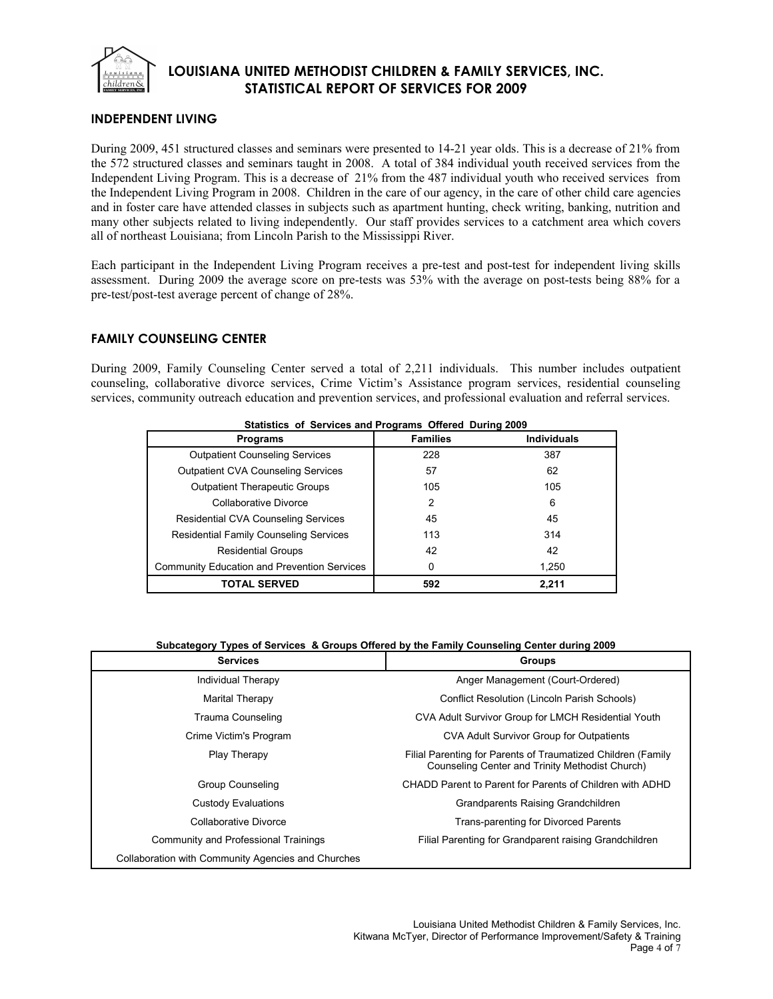

## **INDEPENDENT LIVING**

During 2009, 451 structured classes and seminars were presented to 14-21 year olds. This is a decrease of 21% from the 572 structured classes and seminars taught in 2008. A total of 384 individual youth received services from the Independent Living Program. This is a decrease of 21% from the 487 individual youth who received services from the Independent Living Program in 2008. Children in the care of our agency, in the care of other child care agencies and in foster care have attended classes in subjects such as apartment hunting, check writing, banking, nutrition and many other subjects related to living independently. Our staff provides services to a catchment area which covers all of northeast Louisiana; from Lincoln Parish to the Mississippi River.

Each participant in the Independent Living Program receives a pre-test and post-test for independent living skills assessment. During 2009 the average score on pre-tests was 53% with the average on post-tests being 88% for a pre-test/post-test average percent of change of 28%.

## **FAMILY COUNSELING CENTER**

During 2009, Family Counseling Center served a total of 2,211 individuals. This number includes outpatient counseling, collaborative divorce services, Crime Victim's Assistance program services, residential counseling services, community outreach education and prevention services, and professional evaluation and referral services.

| Statistics of Services and Programs Offered During 2009 |                 |                    |  |  |  |  |  |
|---------------------------------------------------------|-----------------|--------------------|--|--|--|--|--|
| <b>Programs</b>                                         | <b>Families</b> | <b>Individuals</b> |  |  |  |  |  |
| <b>Outpatient Counseling Services</b>                   | 228             | 387                |  |  |  |  |  |
| <b>Outpatient CVA Counseling Services</b>               | 57              | 62                 |  |  |  |  |  |
| <b>Outpatient Therapeutic Groups</b>                    | 105             | 105                |  |  |  |  |  |
| Collaborative Divorce                                   | $\mathcal{P}$   | 6                  |  |  |  |  |  |
| <b>Residential CVA Counseling Services</b>              | 45              | 45                 |  |  |  |  |  |
| <b>Residential Family Counseling Services</b>           | 113             | 314                |  |  |  |  |  |
| <b>Residential Groups</b>                               | 42              | 42                 |  |  |  |  |  |
| <b>Community Education and Prevention Services</b>      | 0               | 1,250              |  |  |  |  |  |
| <b>TOTAL SERVED</b>                                     | 592             | 2.211              |  |  |  |  |  |

#### **Subcategory Types of Services & Groups Offered by the Family Counseling Center during 2009**

| <b>Services</b>                                    | <b>Groups</b>                                                                                                   |
|----------------------------------------------------|-----------------------------------------------------------------------------------------------------------------|
| Individual Therapy                                 | Anger Management (Court-Ordered)                                                                                |
| Marital Therapy                                    | <b>Conflict Resolution (Lincoln Parish Schools)</b>                                                             |
| Trauma Counseling                                  | CVA Adult Survivor Group for LMCH Residential Youth                                                             |
| Crime Victim's Program                             | CVA Adult Survivor Group for Outpatients                                                                        |
| Play Therapy                                       | Filial Parenting for Parents of Traumatized Children (Family<br>Counseling Center and Trinity Methodist Church) |
| Group Counseling                                   | CHADD Parent to Parent for Parents of Children with ADHD                                                        |
| Custody Evaluations                                | Grandparents Raising Grandchildren                                                                              |
| Collaborative Divorce                              | Trans-parenting for Divorced Parents                                                                            |
| Community and Professional Trainings               | Filial Parenting for Grandparent raising Grandchildren                                                          |
| Collaboration with Community Agencies and Churches |                                                                                                                 |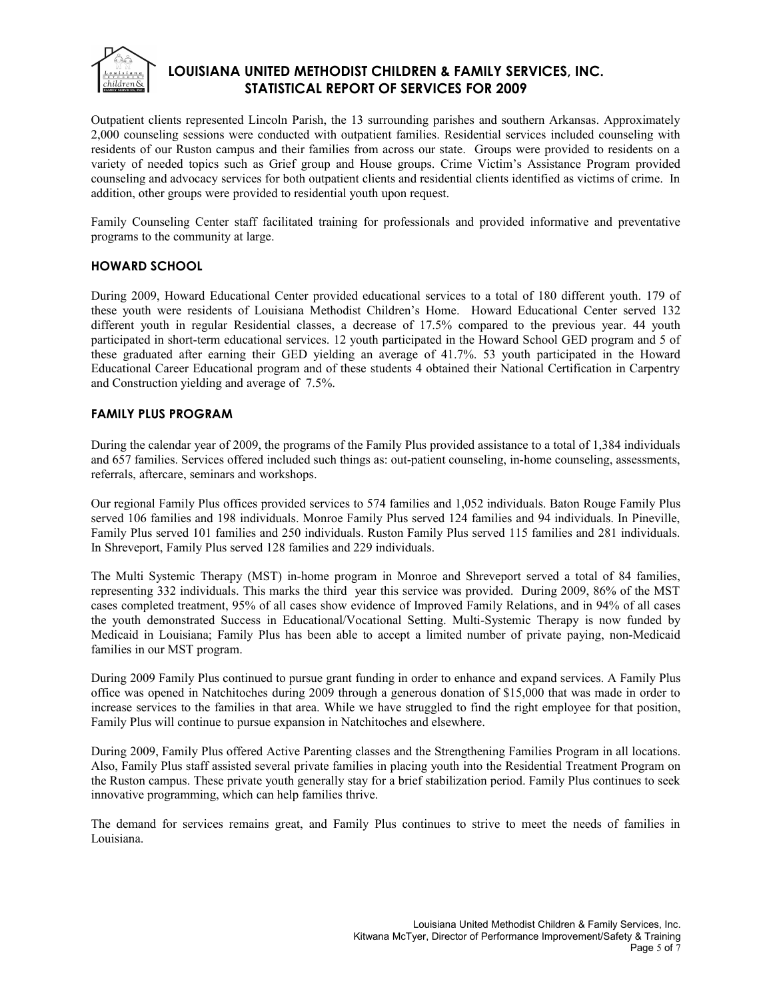

Outpatient clients represented Lincoln Parish, the 13 surrounding parishes and southern Arkansas. Approximately 2,000 counseling sessions were conducted with outpatient families. Residential services included counseling with residents of our Ruston campus and their families from across our state. Groups were provided to residents on a variety of needed topics such as Grief group and House groups. Crime Victim's Assistance Program provided counseling and advocacy services for both outpatient clients and residential clients identified as victims of crime. In addition, other groups were provided to residential youth upon request.

Family Counseling Center staff facilitated training for professionals and provided informative and preventative programs to the community at large.

## **HOWARD SCHOOL**

During 2009, Howard Educational Center provided educational services to a total of 180 different youth. 179 of these youth were residents of Louisiana Methodist Children's Home. Howard Educational Center served 132 different youth in regular Residential classes, a decrease of 17.5% compared to the previous year. 44 youth participated in short-term educational services. 12 youth participated in the Howard School GED program and 5 of these graduated after earning their GED yielding an average of 41.7%. 53 youth participated in the Howard Educational Career Educational program and of these students 4 obtained their National Certification in Carpentry and Construction yielding and average of 7.5%.

## **FAMILY PLUS PROGRAM**

During the calendar year of 2009, the programs of the Family Plus provided assistance to a total of 1,384 individuals and 657 families. Services offered included such things as: out-patient counseling, in-home counseling, assessments, referrals, aftercare, seminars and workshops.

Our regional Family Plus offices provided services to 574 families and 1,052 individuals. Baton Rouge Family Plus served 106 families and 198 individuals. Monroe Family Plus served 124 families and 94 individuals. In Pineville, Family Plus served 101 families and 250 individuals. Ruston Family Plus served 115 families and 281 individuals. In Shreveport, Family Plus served 128 families and 229 individuals.

The Multi Systemic Therapy (MST) in-home program in Monroe and Shreveport served a total of 84 families, representing 332 individuals. This marks the third year this service was provided. During 2009, 86% of the MST cases completed treatment, 95% of all cases show evidence of Improved Family Relations, and in 94% of all cases the youth demonstrated Success in Educational/Vocational Setting. Multi-Systemic Therapy is now funded by Medicaid in Louisiana; Family Plus has been able to accept a limited number of private paying, non-Medicaid families in our MST program.

During 2009 Family Plus continued to pursue grant funding in order to enhance and expand services. A Family Plus office was opened in Natchitoches during 2009 through a generous donation of \$15,000 that was made in order to increase services to the families in that area. While we have struggled to find the right employee for that position, Family Plus will continue to pursue expansion in Natchitoches and elsewhere.

During 2009, Family Plus offered Active Parenting classes and the Strengthening Families Program in all locations. Also, Family Plus staff assisted several private families in placing youth into the Residential Treatment Program on the Ruston campus. These private youth generally stay for a brief stabilization period. Family Plus continues to seek innovative programming, which can help families thrive.

The demand for services remains great, and Family Plus continues to strive to meet the needs of families in Louisiana.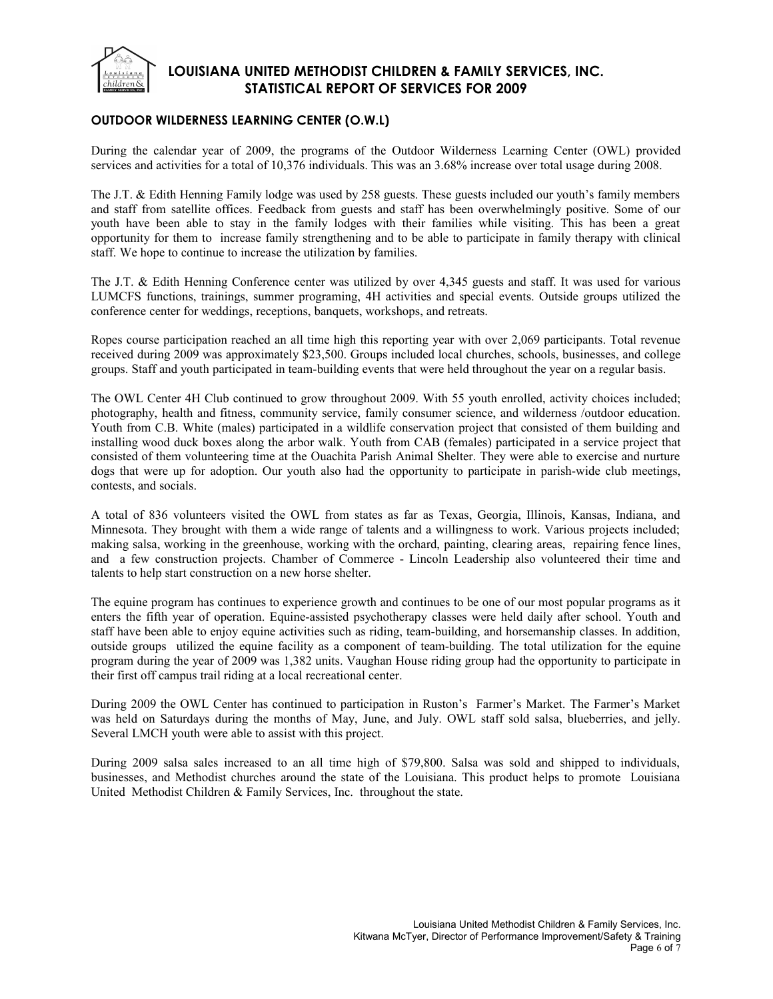

## **OUTDOOR WILDERNESS LEARNING CENTER (O.W.L)**

During the calendar year of 2009, the programs of the Outdoor Wilderness Learning Center (OWL) provided services and activities for a total of 10,376 individuals. This was an 3.68% increase over total usage during 2008.

The J.T. & Edith Henning Family lodge was used by 258 guests. These guests included our youth's family members and staff from satellite offices. Feedback from guests and staff has been overwhelmingly positive. Some of our youth have been able to stay in the family lodges with their families while visiting. This has been a great opportunity for them to increase family strengthening and to be able to participate in family therapy with clinical staff. We hope to continue to increase the utilization by families.

The J.T. & Edith Henning Conference center was utilized by over 4,345 guests and staff. It was used for various LUMCFS functions, trainings, summer programing, 4H activities and special events. Outside groups utilized the conference center for weddings, receptions, banquets, workshops, and retreats.

Ropes course participation reached an all time high this reporting year with over 2,069 participants. Total revenue received during 2009 was approximately \$23,500. Groups included local churches, schools, businesses, and college groups. Staff and youth participated in team-building events that were held throughout the year on a regular basis.

The OWL Center 4H Club continued to grow throughout 2009. With 55 youth enrolled, activity choices included; photography, health and fitness, community service, family consumer science, and wilderness /outdoor education. Youth from C.B. White (males) participated in a wildlife conservation project that consisted of them building and installing wood duck boxes along the arbor walk. Youth from CAB (females) participated in a service project that consisted of them volunteering time at the Ouachita Parish Animal Shelter. They were able to exercise and nurture dogs that were up for adoption. Our youth also had the opportunity to participate in parish-wide club meetings, contests, and socials.

A total of 836 volunteers visited the OWL from states as far as Texas, Georgia, Illinois, Kansas, Indiana, and Minnesota. They brought with them a wide range of talents and a willingness to work. Various projects included; making salsa, working in the greenhouse, working with the orchard, painting, clearing areas, repairing fence lines, and a few construction projects. Chamber of Commerce - Lincoln Leadership also volunteered their time and talents to help start construction on a new horse shelter.

The equine program has continues to experience growth and continues to be one of our most popular programs as it enters the fifth year of operation. Equine-assisted psychotherapy classes were held daily after school. Youth and staff have been able to enjoy equine activities such as riding, team-building, and horsemanship classes. In addition, outside groups utilized the equine facility as a component of team-building. The total utilization for the equine program during the year of 2009 was 1,382 units. Vaughan House riding group had the opportunity to participate in their first off campus trail riding at a local recreational center.

During 2009 the OWL Center has continued to participation in Ruston's Farmer's Market. The Farmer's Market was held on Saturdays during the months of May, June, and July. OWL staff sold salsa, blueberries, and jelly. Several LMCH youth were able to assist with this project.

During 2009 salsa sales increased to an all time high of \$79,800. Salsa was sold and shipped to individuals, businesses, and Methodist churches around the state of the Louisiana. This product helps to promote Louisiana United Methodist Children & Family Services, Inc. throughout the state.